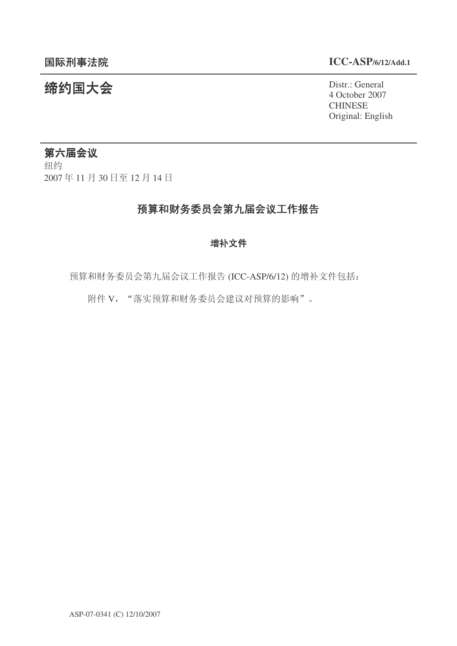#### 䰙ߥџ⊩䰶 **ICC-ASP/6/12/Add.1**

#### 统约国大会 Pistra Report of the District General 4 October 2007 **CHINESE** Original: English

#### 第六届会议

纽约 2007年11月30日至12月14日

## 预算和财务委员会第九届会议工作报告

#### 增补文件

预算和财务委员会第九届会议工作报告 (ICC-ASP/6/12) 的增补文件包括:

附件 V, "落实预算和财务委员会建议对预算的影响"。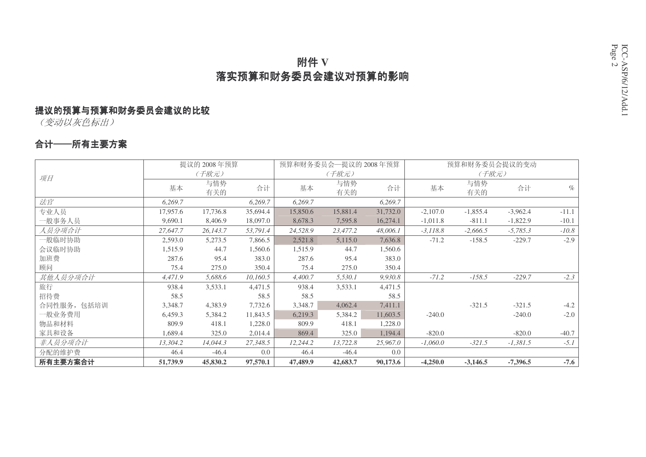# 附件 V 落实预算和财务委员会建议对预算的影响

# 提议的预算与预算和财务委员会建议的比较

(变动以灰色标出)

### 合计──所有主要方案

|             |          | 提议的 2008年预算 |          | 预算和财务委员会一提议的 2008年预算 |            |          |            | 预算和财务委员会提议的变动 |            |         |
|-------------|----------|-------------|----------|----------------------|------------|----------|------------|---------------|------------|---------|
| 项目          |          | (千欧元)       |          |                      | (千欧元)      |          |            | (千欧元)         |            |         |
|             | 基本       | 与情势<br>有关的  | 合计       | 基本                   | 与情势<br>有关的 | 合计       | 基本         | 与情势<br>有关的    | 合计         | $\%$    |
| 法官          | 6,269.7  |             | 6,269.7  | 6,269.7              |            | 6,269.7  |            |               |            |         |
| 专业人员        | 17,957.6 | 17,736.8    | 35,694.4 | 15,850.6             | 15,881.4   | 31,732.0 | $-2,107.0$ | $-1,855.4$    | $-3,962.4$ | $-11.1$ |
| 一般事务人员      | 9,690.1  | 8,406.9     | 18,097.0 | 8,678.3              | 7,595.8    | 16,274.1 | $-1,011.8$ | $-811.1$      | $-1,822.9$ | $-10.1$ |
| 人员分项合计      | 27,647.7 | 26,143.7    | 53,791.4 | 24,528.9             | 23,477.2   | 48,006.1 | $-3,118.8$ | $-2,666.5$    | $-5,785.3$ | $-10.8$ |
| 一般临时协助      | 2,593.0  | 5,273.5     | 7,866.5  | 2,521.8              | 5,115.0    | 7,636.8  | $-71.2$    | $-158.5$      | $-229.7$   | $-2.9$  |
| 会议临时协助      | 1,515.9  | 44.7        | 1,560.6  | 1,515.9              | 44.7       | 1,560.6  |            |               |            |         |
| 加班费         | 287.6    | 95.4        | 383.0    | 287.6                | 95.4       | 383.0    |            |               |            |         |
| 顾问          | 75.4     | 275.0       | 350.4    | 75.4                 | 275.0      | 350.4    |            |               |            |         |
| 其他人员分项合计    | 4,471.9  | 5,688.6     | 10,160.5 | 4,400.7              | 5,530.1    | 9,930.8  | $-71.2$    | $-158.5$      | $-229.7$   | $-2.3$  |
| 旅行          | 938.4    | 3,533.1     | 4,471.5  | 938.4                | 3,533.1    | 4,471.5  |            |               |            |         |
| 招待费         | 58.5     |             | 58.5     | 58.5                 |            | 58.5     |            |               |            |         |
| 合同性服务, 包括培训 | 3,348.7  | 4,383.9     | 7,732.6  | 3,348.7              | 4,062.4    | 7,411.1  |            | $-321.5$      | $-321.5$   | $-4.2$  |
| 一般业务费用      | 6,459.3  | 5,384.2     | 11,843.5 | 6,219.3              | 5,384.2    | 11,603.5 | $-240.0$   |               | $-240.0$   | $-2.0$  |
| 物品和材料       | 809.9    | 418.1       | 1,228.0  | 809.9                | 418.1      | 1,228.0  |            |               |            |         |
| 家具和设备       | 1,689.4  | 325.0       | 2,014.4  | 869.4                | 325.0      | 1,194.4  | $-820.0$   |               | $-820.0$   | $-40.7$ |
| 非人员分项合计     | 13,304.2 | 14,044.3    | 27,348.5 | 12,244.2             | 13,722.8   | 25,967.0 | $-1,060.0$ | $-321.5$      | $-1,381.5$ | $-5.1$  |
| 分配的维护费      | 46.4     | $-46.4$     | 0.0      | 46.4                 | $-46.4$    | 0.0      |            |               |            |         |
| 所有主要方案合计    | 51,739.9 | 45,830.2    | 97,570.1 | 47,489.9             | 42,683.7   | 90,173.6 | $-4,250.0$ | $-3,146.5$    | $-7,396.5$ | $-7.6$  |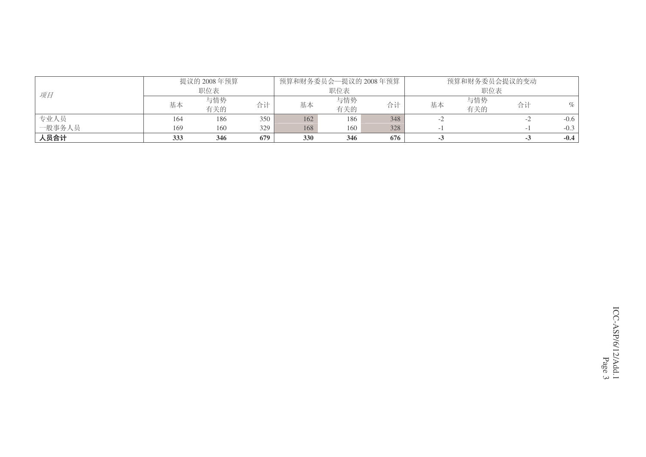|        |     | 提议的 2008年预算 |     | 预算和财务委员会—提议的 2008年预算 |     |     |    | 预算和财务委员会提议的变动 |    |        |
|--------|-----|-------------|-----|----------------------|-----|-----|----|---------------|----|--------|
| 项目     |     | 职位表         |     |                      | 职位表 |     |    | 职位表           |    |        |
|        | 基本  | 与情势         | 合计  | 基本                   | 与情势 | 合计  | 基本 | 与情势           | 合计 | %      |
|        |     | 有关的         |     |                      | 有关的 |     |    | 有关的           |    |        |
| 专业人员   | 164 | 186         | 350 | 162                  | 186 | 348 |    |               |    | $-0.6$ |
| 一般事务人员 | 169 | 160         | 329 | 168                  | 160 | 328 |    |               |    | $-0.3$ |
| 人员合计   | 333 | 346         | 679 | 330                  | 346 | 676 | -2 |               |    | $-0.4$ |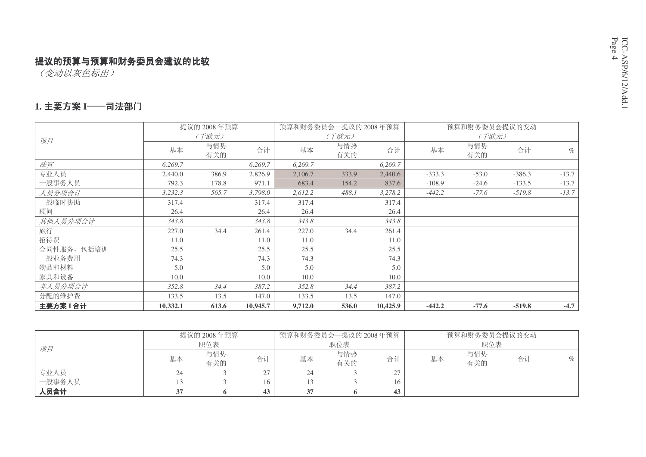(变动以灰色标出)

#### 1. 主要方案 I──司法部门

|             |          | 提议的 2008年预算 |          |         | 预算和财务委员会一提议的 2008年预算 |          |          | 预算和财务委员会提议的变动 |          |         |
|-------------|----------|-------------|----------|---------|----------------------|----------|----------|---------------|----------|---------|
| 项目          |          | (千欧元)       |          |         | (千欧元)                |          |          | (千欧元)         |          |         |
|             | 基本       | 与情势<br>有关的  | 合计       | 基本      | 与情势<br>有关的           | 合计       | 基本       | 与情势<br>有关的    | 合计       | $\%$    |
| 法官          | 6,269.7  |             | 6,269.7  | 6,269.7 |                      | 6,269.7  |          |               |          |         |
| 专业人员        | 2,440.0  | 386.9       | 2,826.9  | 2,106.7 | 333.9                | 2,440.6  | $-333.3$ | $-53.0$       | $-386.3$ | $-13.7$ |
| 一般事务人员      | 792.3    | 178.8       | 971.1    | 683.4   | 154.2                | 837.6    | $-108.9$ | $-24.6$       | $-133.5$ | $-13.7$ |
| 人员分项合计      | 3,232.3  | 565.7       | 3,798.0  | 2,612.2 | 488.1                | 3,278.2  | $-442.2$ | $-77.6$       | $-519.8$ | $-13.7$ |
| 一般临时协助      | 317.4    |             | 317.4    | 317.4   |                      | 317.4    |          |               |          |         |
| 顾问          | 26.4     |             | 26.4     | 26.4    |                      | 26.4     |          |               |          |         |
| 其他人员分项合计    | 343.8    |             | 343.8    | 343.8   |                      | 343.8    |          |               |          |         |
| 旅行          | 227.0    | 34.4        | 261.4    | 227.0   | 34.4                 | 261.4    |          |               |          |         |
| 招待费         | 11.0     |             | 11.0     | 11.0    |                      | 11.0     |          |               |          |         |
| 合同性服务, 包括培训 | 25.5     |             | 25.5     | 25.5    |                      | 25.5     |          |               |          |         |
| 一般业务费用      | 74.3     |             | 74.3     | 74.3    |                      | 74.3     |          |               |          |         |
| 物品和材料       | 5.0      |             | 5.0      | 5.0     |                      | 5.0      |          |               |          |         |
| 家具和设备       | 10.0     |             | 10.0     | 10.0    |                      | 10.0     |          |               |          |         |
| 非人员分项合计     | 352.8    | 34.4        | 387.2    | 352.8   | 34.4                 | 387.2    |          |               |          |         |
| 分配的维护费      | 133.5    | 13.5        | 147.0    | 133.5   | 13.5                 | 147.0    |          |               |          |         |
| 主要方案I合计     | 10,332.1 | 613.6       | 10,945.7 | 9,712.0 | 536.0                | 10,425.9 | $-442.2$ | $-77.6$       | $-519.8$ | $-4.7$  |

|        |    | 提议的 2008 年预算 |          | 预算和财务委员会—提议的 2008年预算 |            |    |    | 预算和财务委员会提议的变动 |    |      |
|--------|----|--------------|----------|----------------------|------------|----|----|---------------|----|------|
| 项目     |    | 职位表          |          |                      | 职位表        |    |    | 职位表           |    |      |
|        | 基本 | 与情势<br>有关的   | 合计       | 基本                   | 与情势<br>有关的 | 合计 | 基本 | 与情势<br>有关的    | 合计 | $\%$ |
| 专业人员   | 24 |              | $\sim$ 1 | 24                   |            | ້≀ |    |               |    |      |
| 一般事务人员 |    |              | 16       |                      |            | 16 |    |               |    |      |
| 人员合计   |    |              | 43       |                      |            | 43 |    |               |    |      |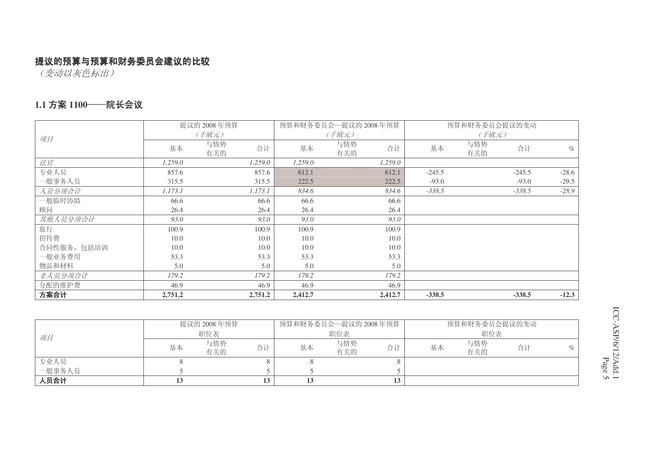(变动以灰色标出)

#### 1.1 方案 1100——院长会议

|             |         | 提议的 2008年预算      |         | 预算和财务委员会一提议的 2008年预算 |          | 预算和财务委员会提议的变动 |          |         |
|-------------|---------|------------------|---------|----------------------|----------|---------------|----------|---------|
| 项目          |         | (千欧元)            |         | (千欧元)                |          | (千欧元)         |          |         |
|             | 基本      | 与情势<br>合计<br>有关的 | 基本      | 与情势<br>合计<br>有关的     | 基本       | 与情势<br>有关的    | 合计       | $\%$    |
| 法官          | 1,259.0 | 1,259.0          | 1,259.0 | 1,259.0              |          |               |          |         |
| 专业人员        | 857.6   | 857.6            | 612.1   | 612.1                | $-245.5$ |               | $-245.5$ | $-28.6$ |
| 一般事务人员      | 315.5   | 315.5            | 222.5   | 222.5                | $-93.0$  |               | $-93.0$  | $-29.5$ |
| 人员分项合计      | 1,173.1 | 1,173.1          | 834.6   | 834.6                | $-338.5$ |               | $-338.5$ | $-28.9$ |
| 一般临时协助      | 66.6    | 66.6             | 66.6    | 66.6                 |          |               |          |         |
| 顾问          | 26.4    | 26.4             | 26.4    | 26.4                 |          |               |          |         |
| 其他人员分项合计    | 93.0    | 93.0             | 93.0    | 93.0                 |          |               |          |         |
| 旅行          | 100.9   | 100.9            | 100.9   | 100.9                |          |               |          |         |
| 招待费         | 10.0    | 10.0             | 10.0    | 10.0                 |          |               |          |         |
| 合同性服务, 包括培训 | 10.0    | 10.0             | 10.0    | 10.0                 |          |               |          |         |
| 一般业务费用      | 53.3    | 53.3             | 53.3    | 53.3                 |          |               |          |         |
| 物品和材料       | 5.0     | 5.0              | 5.0     | 5.0                  |          |               |          |         |
| 非人员分项合计     | 179.2   | 179.2            | 179.2   | 179.2                |          |               |          |         |
| 分配的维护费      | 46.9    | 46.9             | 46.9    | 46.9                 |          |               |          |         |
| 方案合计        | 2,751.2 | 2,751.2          | 2,412.7 | 2,412.7              | $-338.5$ |               | $-338.5$ | $-12.3$ |

|        |    | 提议的 2008年预算 |    |    | 预算和财务委员会—提议的 2008年预算 |    | 预算和财务委员会提议的变动 |            |    |     |
|--------|----|-------------|----|----|----------------------|----|---------------|------------|----|-----|
| 项目     |    | 职位表         |    |    | 职位表                  |    |               | 职位表        |    |     |
|        | 基本 | 与情势<br>有关的  | 合计 | 基本 | 与情势<br>有关的           | 合计 | 基本            | 与情势<br>有关的 | 合计 | OI. |
| 专业人员   |    |             |    |    |                      |    |               |            |    |     |
| 一般事务人员 |    |             |    |    |                      |    |               |            |    |     |
| 人员合计   |    |             | 13 |    |                      |    |               |            |    |     |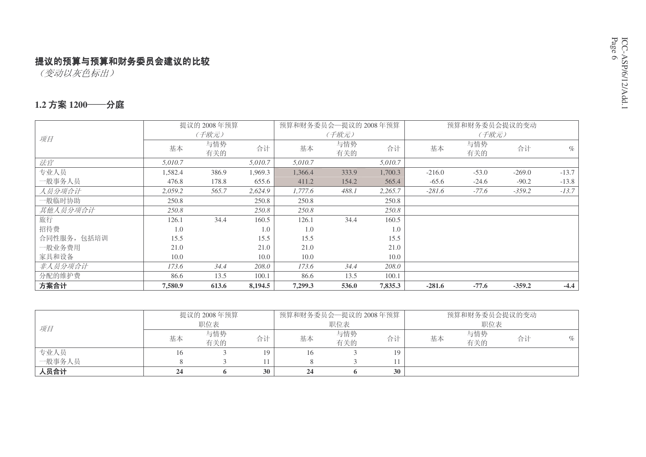(变动以灰色标出)

#### 1.2 方案 1200──分庭

|             |         | 提议的 2008年预算 |         |         | 预算和财务委员会—提议的 2008年预算 |         |          | 预算和财务委员会提议的变动 |          |         |
|-------------|---------|-------------|---------|---------|----------------------|---------|----------|---------------|----------|---------|
| 项目          |         | (千欧元)       |         |         | (千欧元)                |         |          | (千欧元)         |          |         |
|             | 基本      | 与情势<br>有关的  | 合计      | 基本      | 与情势<br>有关的           | 合计      | 基本       | 与情势<br>有关的    | 合计       | $\%$    |
| 法官          | 5,010.7 |             | 5,010.7 | 5,010.7 |                      | 5,010.7 |          |               |          |         |
| 专业人员        | 1,582.4 | 386.9       | 1,969.3 | 1,366.4 | 333.9                | 1,700.3 | $-216.0$ | $-53.0$       | $-269.0$ | $-13.7$ |
| 一般事务人员      | 476.8   | 178.8       | 655.6   | 411.2   | 154.2                | 565.4   | $-65.6$  | $-24.6$       | $-90.2$  | $-13.8$ |
| 人员分项合计      | 2,059.2 | 565.7       | 2,624.9 | 1,777.6 | 488.1                | 2,265.7 | $-281.6$ | $-77.6$       | $-359.2$ | $-13.7$ |
| 一般临时协助      | 250.8   |             | 250.8   | 250.8   |                      | 250.8   |          |               |          |         |
| 其他人员分项合计    | 250.8   |             | 250.8   | 250.8   |                      | 250.8   |          |               |          |         |
| 旅行          | 126.1   | 34.4        | 160.5   | 126.1   | 34.4                 | 160.5   |          |               |          |         |
| 招待费         | 1.0     |             | 1.0     | 1.0     |                      | 1.0     |          |               |          |         |
| 合同性服务, 包括培训 | 15.5    |             | 15.5    | 15.5    |                      | 15.5    |          |               |          |         |
| 一般业务费用      | 21.0    |             | 21.0    | 21.0    |                      | 21.0    |          |               |          |         |
| 家具和设备       | 10.0    |             | 10.0    | 10.0    |                      | 10.0    |          |               |          |         |
| 非人员分项合计     | 173.6   | 34.4        | 208.0   | 173.6   | 34.4                 | 208.0   |          |               |          |         |
| 分配的维护费      | 86.6    | 13.5        | 100.1   | 86.6    | 13.5                 | 100.1   |          |               |          |         |
| 方案合计        | 7,580.9 | 613.6       | 8,194.5 | 7,299.3 | 536.0                | 7,835.3 | $-281.6$ | $-77.6$       | $-359.2$ | $-4.4$  |

|        |    | 提议的 2008年预算 | 预算和财务委员会一提议的 2008年预算 |     |            |    | 预算和财务委员会提议的变动 |            |    |   |
|--------|----|-------------|----------------------|-----|------------|----|---------------|------------|----|---|
| 项目     |    | 职位表         |                      |     | 职位表        |    |               | 职位表        |    |   |
|        | 基本 | 与情势<br>有关的  | 合计                   | 基本  | 与情势<br>有关的 | 合计 | 基本            | 与情势<br>有关的 | 合计 | % |
| 专业人员   |    |             | 10).                 | 16. |            | 19 |               |            |    |   |
| 一般事务人员 |    |             |                      |     |            |    |               |            |    |   |
| 人员合计   | 24 |             | 30                   | 24  |            | 30 |               |            |    |   |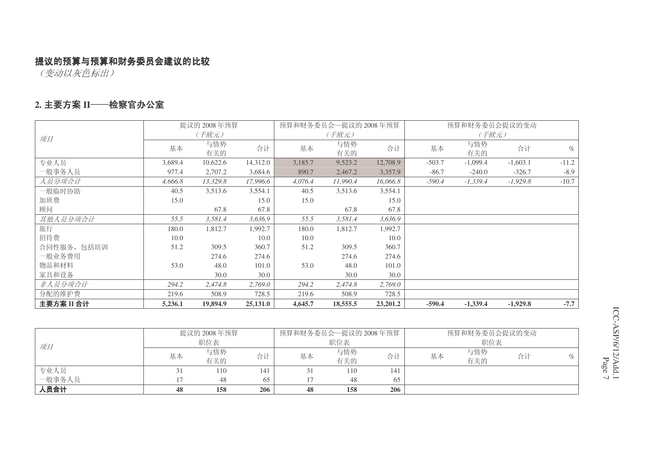(变动以灰色标出)

#### 2. 主要方案 II──检察官办公室

|             |         | 提议的 2008年预算 |          |         | 预算和财务委员会—提议的 2008年预算 |          |          | 预算和财务委员会提议的变动 |            |         |
|-------------|---------|-------------|----------|---------|----------------------|----------|----------|---------------|------------|---------|
| 项目          |         | (千欧元)       |          |         | (千欧元)                |          |          | (千欧元)         |            |         |
|             | 基本      | 与情势<br>有关的  | 合计       | 基本      | 与情势<br>有关的           | 合计       | 基本       | 与情势<br>有关的    | 合计         | $\%$    |
| 专业人员        | 3,689.4 | 10,622.6    | 14,312.0 | 3,185.7 | 9,523.2              | 12,708.9 | $-503.7$ | $-1,099.4$    | $-1,603.1$ | $-11.2$ |
| 一般事务人员      | 977.4   | 2,707.2     | 3,684.6  | 890.7   | 2,467.2              | 3,357.9  | $-86.7$  | $-240.0$      | $-326.7$   | $-8.9$  |
| 人员分项合计      | 4,666.8 | 13,329.8    | 17,996.6 | 4,076.4 | 11,990.4             | 16,066.8 | $-590.4$ | $-1,339.4$    | $-1,929.8$ | $-10.7$ |
| 一般临时协助      | 40.5    | 3,513.6     | 3,554.1  | 40.5    | 3,513.6              | 3,554.1  |          |               |            |         |
| 加班费         | 15.0    |             | 15.0     | 15.0    |                      | 15.0     |          |               |            |         |
| 顾问          |         | 67.8        | 67.8     |         | 67.8                 | 67.8     |          |               |            |         |
| 其他人员分项合计    | 55.5    | 3,581.4     | 3,636.9  | 55.5    | 3,581.4              | 3,636.9  |          |               |            |         |
| 旅行          | 180.0   | 1,812.7     | 1,992.7  | 180.0   | 1,812.7              | 1,992.7  |          |               |            |         |
| 招待费         | 10.0    |             | 10.0     | 10.0    |                      | 10.0     |          |               |            |         |
| 合同性服务, 包括培训 | 51.2    | 309.5       | 360.7    | 51.2    | 309.5                | 360.7    |          |               |            |         |
| 一般业务费用      |         | 274.6       | 274.6    |         | 274.6                | 274.6    |          |               |            |         |
| 物品和材料       | 53.0    | 48.0        | 101.0    | 53.0    | 48.0                 | 101.0    |          |               |            |         |
| 家具和设备       |         | 30.0        | 30.0     |         | 30.0                 | 30.0     |          |               |            |         |
| 非人员分项合计     | 294.2   | 2,474.8     | 2,769.0  | 294.2   | 2,474.8              | 2,769.0  |          |               |            |         |
| 分配的维护费      | 219.6   | 508.9       | 728.5    | 219.6   | 508.9                | 728.5    |          |               |            |         |
| 主要方案II合计    | 5,236.1 | 19,894.9    | 25,131.0 | 4,645.7 | 18,555.5             | 23,201.2 | $-590.4$ | $-1,339.4$    | $-1,929.8$ | $-7.7$  |

|        |    | 提议的 2008年预算 |     |    | 预算和财务委员会—提议的 2008年预算 |     |    | 预算和财务委员会提议的变动 |    |                             |
|--------|----|-------------|-----|----|----------------------|-----|----|---------------|----|-----------------------------|
| 项目     |    | 职位表         |     |    | 职位表                  |     |    | 职位表           |    |                             |
|        | 基本 | 与情势         | 合计  | 基本 | 与情势                  | 合计  | 基本 | 与情势           | 合计 | $\mathcal{O}_{\mathcal{D}}$ |
|        |    | 有关的         |     |    | 有关的                  |     |    | 有关的           |    |                             |
| 专业人员   |    | 110         | 141 |    | 110                  | 141 |    |               |    |                             |
| 一般事务人员 |    | 48          | 65  |    | 48                   | 65  |    |               |    |                             |
| 人员合计   | 48 | 158         | 206 | 48 | 158                  | 206 |    |               |    |                             |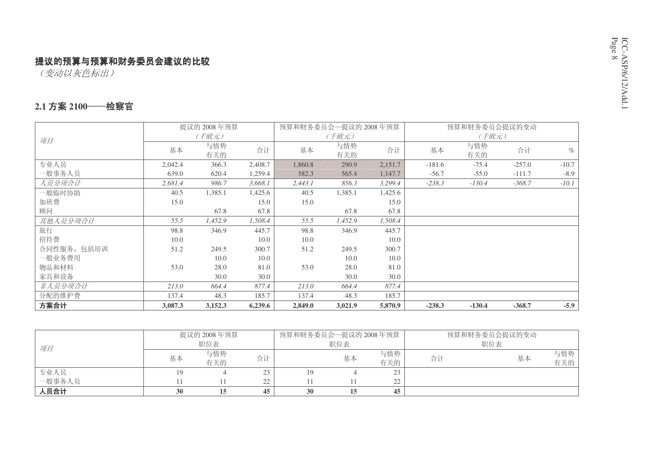(变动以灰色标出)

#### 2.1 方案 2100──检察官

|             |         | 提议的 2008年预算 |         | 预算和财务委员会—提议的 2008年预算 |            |         |          | 预算和财务委员会提议的变动 |          |         |
|-------------|---------|-------------|---------|----------------------|------------|---------|----------|---------------|----------|---------|
| 项目          |         | (千欧元)       |         |                      | (千欧元)      |         |          | (千欧元)         |          |         |
|             | 基本      | 与情势<br>有关的  | 合计      | 基本                   | 与情势<br>有关的 | 合计      | 基本       | 与情势<br>有关的    | 合计       | $\%$    |
| 专业人员        | 2,042.4 | 366.3       | 2,408.7 | 1,860.8              | 290.9      | 2,151.7 | $-181.6$ | $-75.4$       | $-257.0$ | $-10.7$ |
| 一般事务人员      | 639.0   | 620.4       | 1,259.4 | 582.3                | 565.4      | 1,147.7 | $-56.7$  | $-55.0$       | $-111.7$ | $-8.9$  |
| 人员分项合计      | 2,681.4 | 986.7       | 3,668.1 | 2,443.1              | 856.3      | 3,299.4 | $-238.3$ | $-130.4$      | $-368.7$ | $-10.1$ |
| 一般临时协助      | 40.5    | 1,385.1     | 1,425.6 | 40.5                 | 1,385.1    | 1,425.6 |          |               |          |         |
| 加班费         | 15.0    |             | 15.0    | 15.0                 |            | 15.0    |          |               |          |         |
| 顾问          |         | 67.8        | 67.8    |                      | 67.8       | 67.8    |          |               |          |         |
| 其他人员分项合计    | 55.5    | 1,452.9     | 1,508.4 | 55.5                 | 1,452.9    | 1,508.4 |          |               |          |         |
| 旅行          | 98.8    | 346.9       | 445.7   | 98.8                 | 346.9      | 445.7   |          |               |          |         |
| 招待费         | 10.0    |             | 10.0    | 10.0                 |            | 10.0    |          |               |          |         |
| 合同性服务, 包括培训 | 51.2    | 249.5       | 300.7   | 51.2                 | 249.5      | 300.7   |          |               |          |         |
| 一般业务费用      |         | 10.0        | 10.0    |                      | 10.0       | 10.0    |          |               |          |         |
| 物品和材料       | 53.0    | 28.0        | 81.0    | 53.0                 | 28.0       | 81.0    |          |               |          |         |
| 家具和设备       |         | 30.0        | 30.0    |                      | 30.0       | 30.0    |          |               |          |         |
| 非人员分项合计     | 213.0   | 664.4       | 877.4   | 213.0                | 664.4      | 877.4   |          |               |          |         |
| 分配的维护费      | 137.4   | 48.3        | 185.7   | 137.4                | 48.3       | 185.7   |          |               |          |         |
| 方案合计        | 3,087.3 | 3,152.3     | 6,239.6 | 2,849.0              | 3,021.9    | 5,870.9 | $-238.3$ | $-130.4$      | $-368.7$ | $-5.9$  |

|        |    | 提议的 2008年预算 |    | 预算和财务委员会—提议的 2008年预算 |     |     | 预算和财务委员会提议的变动 |     |     |
|--------|----|-------------|----|----------------------|-----|-----|---------------|-----|-----|
| 项目     |    | 职位表         |    |                      | 职位表 |     |               | 职位表 |     |
|        | 基本 | 与情势         | 合计 |                      | 基本  | 与情势 | 合计            | 基本  | 与情势 |
|        |    | 有关的         |    |                      |     | 有关的 |               |     | 有关的 |
| 专业人员   |    |             | 23 | 19                   |     |     |               |     |     |
| 一般事务人员 |    |             | 22 |                      |     | ົາ  |               |     |     |
| 人员合计   | 30 |             | 45 | 30                   | 15  | 45  |               |     |     |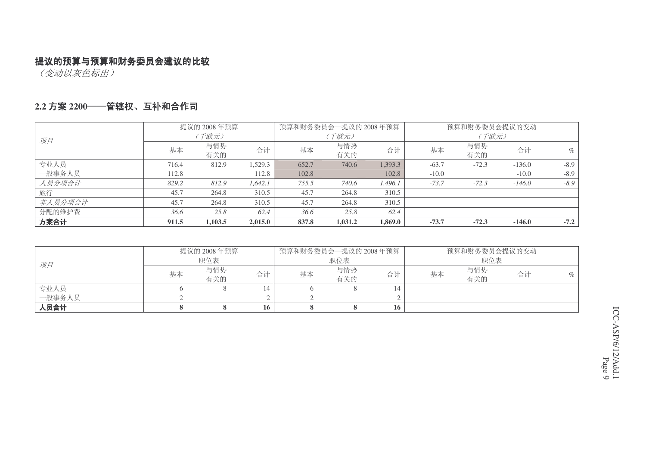(变动以灰色标出)

#### 2.2 方案 2200──**笸辖权、互补和合作司**

|         |       | 提议的 2008年预算 |         | 预算和财务委员会—提议的 2008年预算 |            |         | 预算和财务委员会提议的变动 |            |          |        |
|---------|-------|-------------|---------|----------------------|------------|---------|---------------|------------|----------|--------|
| 项目      |       | (千欧元)       |         |                      | (千欧元)      |         |               | (千欧元)      |          |        |
|         | 基本    | 与情势<br>有关的  | 合计      | 基本                   | 与情势<br>有关的 | 合计      | 基本            | 与情势<br>有关的 | 合计       | $\%$   |
| 专业人员    | 716.4 | 812.9       | 1.529.3 | 652.7                | 740.6      | 1,393.3 | $-63.7$       | $-72.3$    | $-136.0$ | $-8.9$ |
| 一般事务人员  | 112.8 |             | 112.8   | 102.8                |            | 102.8   | $-10.0$       |            | $-10.0$  | $-8.9$ |
| 人员分项合计  | 829.2 | 812.9       | 1.642.1 | 755.5                | 740.6      | 1.496.1 | $-73.7$       | $-72.3$    | $-146.0$ | $-8.9$ |
| 旅行      | 45.7  | 264.8       | 310.5   | 45.7                 | 264.8      | 310.5   |               |            |          |        |
| 非人员分项合计 | 45.7  | 264.8       | 310.5   | 45.7                 | 264.8      | 310.5   |               |            |          |        |
| 分配的维护费  | 36.6  | 25.8        | 62.4    | 36.6                 | 25.8       | 62.4    |               |            |          |        |
| 方案合计    | 911.5 | 1,103.5     | 2,015.0 | 837.8                | 1,031.2    | 1,869.0 | $-73.7$       | $-72.3$    | $-146.0$ | $-7.2$ |

|        |    | 提议的 2008 年预算 |    | 预算和财务委员会—提议的 2008年预算 |            |    |    | 预算和财务委员会提议的变动 |    |   |
|--------|----|--------------|----|----------------------|------------|----|----|---------------|----|---|
| 项目     |    | 职位表          |    |                      | 职位表        |    |    | 职位表           |    |   |
|        | 基本 | 与情势<br>有关的   | 合计 | 基本                   | 与情势<br>有关的 | 合计 | 基本 | 与情势<br>有关的    | 合计 | % |
| 专业人员   |    |              | 14 |                      |            |    |    |               |    |   |
| 一般事务人员 |    |              |    |                      |            |    |    |               |    |   |
| 人员合计   |    |              | 16 |                      |            | 16 |    |               |    |   |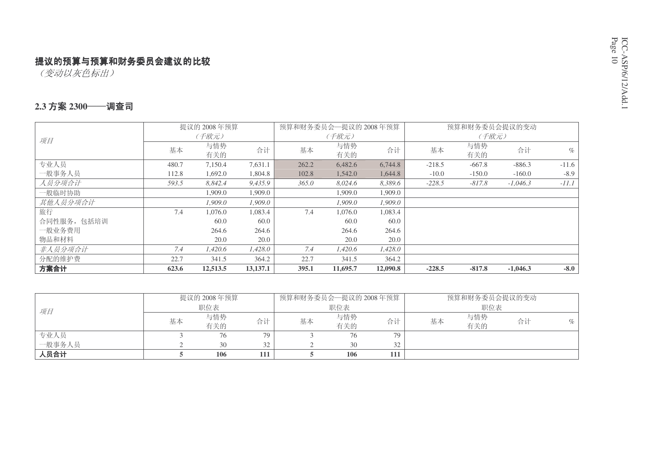(变动以灰色标出)

#### 2.3 方案 2300──调查司

|             |       | 提议的 2008年预算 |          | 预算和财务委员会一提议的 2008年预算 |            |          |          | 预算和财务委员会提议的变动 |            |         |
|-------------|-------|-------------|----------|----------------------|------------|----------|----------|---------------|------------|---------|
| 项目          |       | (千欧元)       |          |                      | (千欧元)      |          |          | (千欧元)         |            |         |
|             | 基本    | 与情势<br>有关的  | 合计       | 基本                   | 与情势<br>有关的 | 合计       | 基本       | 与情势<br>有关的    | 合计         | $\%$    |
| 专业人员        | 480.7 | 7,150.4     | 7,631.1  | 262.2                | 6,482.6    | 6,744.8  | $-218.5$ | $-667.8$      | $-886.3$   | $-11.6$ |
| 一般事务人员      | 112.8 | 1,692.0     | 1,804.8  | 102.8                | 1,542.0    | 1,644.8  | $-10.0$  | $-150.0$      | $-160.0$   | $-8.9$  |
| 人员分项合计      | 593.5 | 8,842.4     | 9,435.9  | 365.0                | 8,024.6    | 8,389.6  | $-228.5$ | $-817.8$      | $-1,046.3$ | $-11.1$ |
| 一般临时协助      |       | 1,909.0     | 1,909.0  |                      | 1.909.0    | 1,909.0  |          |               |            |         |
| 其他人员分项合计    |       | 1.909.0     | 1.909.0  |                      | 1.909.0    | 1.909.0  |          |               |            |         |
| 旅行          | 7.4   | 1,076.0     | 1,083.4  | 7.4                  | 1,076.0    | 1,083.4  |          |               |            |         |
| 合同性服务, 包括培训 |       | 60.0        | 60.0     |                      | 60.0       | 60.0     |          |               |            |         |
| 一般业务费用      |       | 264.6       | 264.6    |                      | 264.6      | 264.6    |          |               |            |         |
| 物品和材料       |       | 20.0        | 20.0     |                      | 20.0       | 20.0     |          |               |            |         |
| 非人员分项合计     | 7.4   | 1,420.6     | 1,428.0  | 7.4                  | 1,420.6    | 1,428.0  |          |               |            |         |
| 分配的维护费      | 22.7  | 341.5       | 364.2    | 22.7                 | 341.5      | 364.2    |          |               |            |         |
| 方案合计        | 623.6 | 12,513.5    | 13,137.1 | 395.1                | 11,695.7   | 12,090.8 | $-228.5$ | $-817.8$      | $-1.046.3$ | $-8.0$  |

|        |    | 提议的 2008年预算 |     | 预算和财务委员会—提议的 2008年预算 |            |     | 预算和财务委员会提议的变动 |            |    |   |
|--------|----|-------------|-----|----------------------|------------|-----|---------------|------------|----|---|
| 项目     |    | 职位表         |     |                      | 职位表        |     |               | 职位表        |    |   |
|        | 基本 | 与情势<br>有关的  | 合计  | 基本                   | 与情势<br>有关的 | 合计  | 基本            | 与情势<br>有关的 | 合计 | % |
| 专业人员   |    | 76          | 79  |                      | 76         | 79  |               |            |    |   |
| 一般事务人员 |    | 30          | 32  |                      | 30         | 32  |               |            |    |   |
| 人员合计   |    | 106         | 111 |                      | <b>106</b> | 111 |               |            |    |   |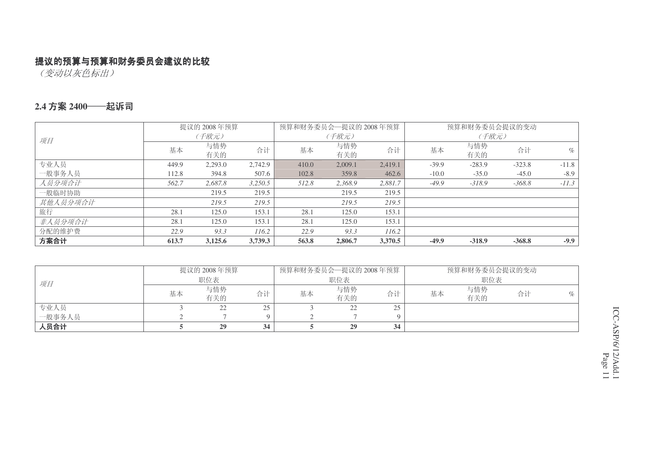(变动以灰色标出)

#### 2.4 方案 2400——起诉司

|          |       | 提议的 2008年预算 |         | 预算和财务委员会一提议的 2008年预算 |            |         |         | 预算和财务委员会提议的变动 |          |         |
|----------|-------|-------------|---------|----------------------|------------|---------|---------|---------------|----------|---------|
| 项目       |       | (千欧元)       |         |                      | (千欧元)      |         |         | (千欧元)         |          |         |
|          | 基本    | 与情势<br>有关的  | 合计      | 基本                   | 与情势<br>有关的 | 合计      | 基本      | 与情势<br>有关的    | 合计       | $\%$    |
| 专业人员     | 449.9 |             | 2,742.9 | 410.0                |            | 2,419.1 | $-39.9$ | $-283.9$      | $-323.8$ | $-11.8$ |
|          |       | 2,293.0     |         |                      | 2,009.1    |         |         |               |          |         |
| 一般事务人员   | 112.8 | 394.8       | 507.6   | 102.8                | 359.8      | 462.6   | $-10.0$ | $-35.0$       | $-45.0$  | $-8.9$  |
| 人员分项合计   | 562.7 | 2,687.8     | 3,250.5 | 512.8                | 2,368.9    | 2,881.7 | $-49.9$ | $-318.9$      | $-368.8$ | $-11.3$ |
| 一般临时协助   |       | 219.5       | 219.5   |                      | 219.5      | 219.5   |         |               |          |         |
| 其他人员分项合计 |       | 219.5       | 219.5   |                      | 219.5      | 219.5   |         |               |          |         |
| 旅行       | 28.1  | 125.0       | 153.1   | 28.1                 | 125.0      | 153.1   |         |               |          |         |
| 非人员分项合计  | 28.1  | 125.0       | 153.1   | 28.1                 | 125.0      | 153.1   |         |               |          |         |
| 分配的维护费   | 22.9  | 93.3        | 116.2   | 22.9                 | 93.3       | 116.2   |         |               |          |         |
| 方案合计     | 613.7 | 3,125.6     | 3,739.3 | 563.8                | 2,806.7    | 3,370.5 | $-49.9$ | $-318.9$      | $-368.8$ | $-9.9$  |

|        |    | 提议的 2008年预算 |          | 预算和财务委员会一提议的 2008年预算 |            |          |    | 预算和财务委员会提议的变动 |    |      |
|--------|----|-------------|----------|----------------------|------------|----------|----|---------------|----|------|
| 项目     |    | 职位表         |          |                      | 职位表        |          |    | 职位表           |    |      |
|        | 基本 | 与情势<br>有关的  | 合计       | 基本                   | 与情势<br>有关的 | 合计       | 基本 | 与情势<br>有关的    | 合计 | $\%$ |
| 专业人员   |    | 22          | 25       |                      | 22         | 25<br>رے |    |               |    |      |
| 一般事务人员 |    |             | $\Omega$ |                      |            |          |    |               |    |      |
| 人员合计   |    | 29          | 34       |                      | 29         | 34       |    |               |    |      |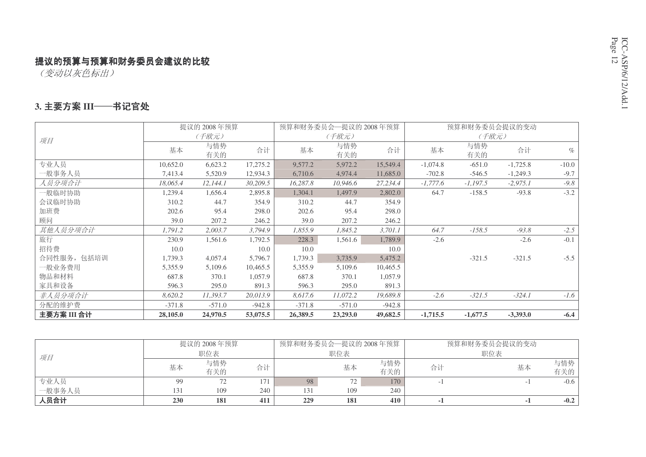(变动以灰色标出)

#### 3. 主要方案 III<del>——</del>书记官处

|             |          | 提议的 2008年预算 |          |          | 预算和财务委员会一提议的 2008年预算 |          |            | 预算和财务委员会提议的变动 |            |         |
|-------------|----------|-------------|----------|----------|----------------------|----------|------------|---------------|------------|---------|
| 项目          |          | (千欧元)       |          |          | (千欧元)                |          |            | (千欧元)         |            |         |
|             | 基本       | 与情势<br>有关的  | 合计       | 基本       | 与情势<br>有关的           | 合计       | 基本         | 与情势<br>有关的    | 合计         | $\%$    |
| 专业人员        | 10,652.0 | 6,623.2     | 17,275.2 | 9,577.2  | 5,972.2              | 15,549.4 | $-1,074.8$ | $-651.0$      | $-1,725.8$ | $-10.0$ |
| 一般事务人员      | 7,413.4  | 5,520.9     | 12,934.3 | 6,710.6  | 4,974.4              | 11,685.0 | $-702.8$   | $-546.5$      | $-1,249.3$ | $-9.7$  |
| 人员分项合计      | 18,065.4 | 12,144.1    | 30,209.5 | 16,287.8 | 10,946.6             | 27,234.4 | $-1,777.6$ | $-1,197.5$    | $-2,975.1$ | $-9.8$  |
| 一般临时协助      | 1,239.4  | 1,656.4     | 2,895.8  | 1,304.1  | 1,497.9              | 2,802.0  | 64.7       | $-158.5$      | $-93.8$    | $-3.2$  |
| 会议临时协助      | 310.2    | 44.7        | 354.9    | 310.2    | 44.7                 | 354.9    |            |               |            |         |
| 加班费         | 202.6    | 95.4        | 298.0    | 202.6    | 95.4                 | 298.0    |            |               |            |         |
| 顾问          | 39.0     | 207.2       | 246.2    | 39.0     | 207.2                | 246.2    |            |               |            |         |
| 其他人员分项合计    | 1,791.2  | 2,003.7     | 3,794.9  | 1,855.9  | 1,845.2              | 3,701.1  | 64.7       | $-158.5$      | $-93.8$    | $-2.5$  |
| 旅行          | 230.9    | 1,561.6     | 1,792.5  | 228.3    | 1,561.6              | 1,789.9  | $-2.6$     |               | $-2.6$     | $-0.1$  |
| 招待费         | 10.0     |             | 10.0     | 10.0     |                      | 10.0     |            |               |            |         |
| 合同性服务, 包括培训 | 1,739.3  | 4,057.4     | 5,796.7  | 1,739.3  | 3,735.9              | 5,475.2  |            | $-321.5$      | $-321.5$   | $-5.5$  |
| 一般业务费用      | 5,355.9  | 5,109.6     | 10,465.5 | 5,355.9  | 5,109.6              | 10,465.5 |            |               |            |         |
| 物品和材料       | 687.8    | 370.1       | 1,057.9  | 687.8    | 370.1                | 1,057.9  |            |               |            |         |
| 家具和设备       | 596.3    | 295.0       | 891.3    | 596.3    | 295.0                | 891.3    |            |               |            |         |
| 非人员分项合计     | 8,620.2  | 11,393.7    | 20,013.9 | 8,617.6  | 11,072.2             | 19,689.8 | $-2.6$     | $-321.5$      | $-324.1$   | $-1.6$  |
| 分配的维护费      | $-371.8$ | $-571.0$    | $-942.8$ | $-371.8$ | $-571.0$             | $-942.8$ |            |               |            |         |
| 主要方案 III 合计 | 28,105.0 | 24,970.5    | 53,075.5 | 26,389.5 | 23,293.0             | 49,682.5 | $-1,715.5$ | $-1,677.5$    | $-3,393.0$ | $-6.4$  |

|        |     | 提议的 2008年预算 |     | 预算和财务委员会—提议的 2008年预算 |     |     | 预算和财务委员会提议的变动 |     |        |
|--------|-----|-------------|-----|----------------------|-----|-----|---------------|-----|--------|
| 项目     |     | 职位表         |     |                      | 职位表 |     |               | 职位表 |        |
|        | 基本  | 与情势         | 合计  |                      | 基本  | 与情势 | 合计            | 基本  | 与情势    |
|        |     | 有关的         |     |                      |     | 有关的 |               |     | 有关的    |
| 专业人员   | 99  | 72          | 171 | 98                   | 1 Z | 170 |               |     | $-0.6$ |
| 一般事务人员 | 131 | 109         | 240 | 131                  | 109 | 240 |               |     |        |
| 人员合计   | 230 | 181         | 411 | 229                  | 181 | 410 |               |     | $-0.2$ |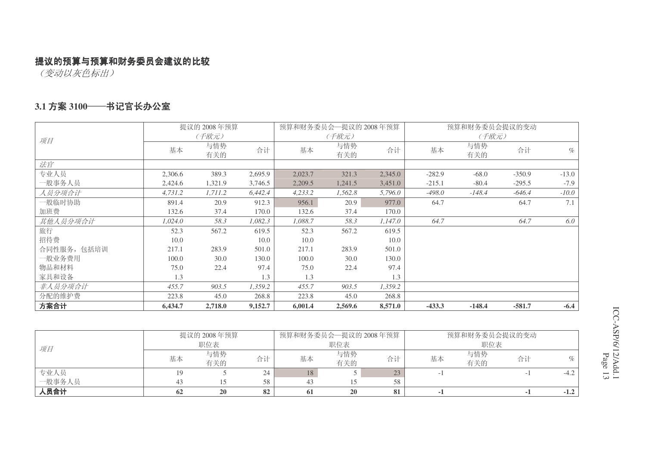(变动以灰色标出)

#### 3.1 方案 3100──书记官长办公室

|            |         | 提议的 2008年预算 |         | 预算和财务委员会一提议的 2008年预算 |            |         |          | 预算和财务委员会提议的变动 |          |         |
|------------|---------|-------------|---------|----------------------|------------|---------|----------|---------------|----------|---------|
| 项目         |         | (千欧元)       |         |                      | (千欧元)      |         |          | (千欧元)         |          |         |
|            | 基本      | 与情势<br>有关的  | 合计      | 基本                   | 与情势<br>有关的 | 合计      | 基本       | 与情势<br>有关的    | 合计       | $\%$    |
| 法官         |         |             |         |                      |            |         |          |               |          |         |
| 专业人员       | 2,306.6 | 389.3       | 2,695.9 | 2,023.7              | 321.3      | 2,345.0 | $-282.9$ | $-68.0$       | $-350.9$ | $-13.0$ |
| 一般事务人员     | 2,424.6 | 1,321.9     | 3,746.5 | 2,209.5              | 1,241.5    | 3,451.0 | $-215.1$ | $-80.4$       | $-295.5$ | $-7.9$  |
| 人员分项合计     | 4,731.2 | 1,711.2     | 6,442.4 | 4,233.2              | 1,562.8    | 5,796.0 | $-498.0$ | $-148.4$      | $-646.4$ | $-10.0$ |
| 一般临时协助     | 891.4   | 20.9        | 912.3   | 956.1                | 20.9       | 977.0   | 64.7     |               | 64.7     | 7.1     |
| 加班费        | 132.6   | 37.4        | 170.0   | 132.6                | 37.4       | 170.0   |          |               |          |         |
| 其他人员分项合计   | 1,024.0 | 58.3        | 1,082.3 | 1,088.7              | 58.3       | 1,147.0 | 64.7     |               | 64.7     | 6.0     |
| 旅行         | 52.3    | 567.2       | 619.5   | 52.3                 | 567.2      | 619.5   |          |               |          |         |
| 招待费        | 10.0    |             | 10.0    | 10.0                 |            | 10.0    |          |               |          |         |
| 合同性服务,包括培训 | 217.1   | 283.9       | 501.0   | 217.1                | 283.9      | 501.0   |          |               |          |         |
| 一般业务费用     | 100.0   | 30.0        | 130.0   | 100.0                | 30.0       | 130.0   |          |               |          |         |
| 物品和材料      | 75.0    | 22.4        | 97.4    | 75.0                 | 22.4       | 97.4    |          |               |          |         |
| 家具和设备      | 1.3     |             | 1.3     | 1.3                  |            | 1.3     |          |               |          |         |
| 非人员分项合计    | 455.7   | 903.5       | 1,359.2 | 455.7                | 903.5      | 1,359.2 |          |               |          |         |
| 分配的维护费     | 223.8   | 45.0        | 268.8   | 223.8                | 45.0       | 268.8   |          |               |          |         |
| 方案合计       | 6,434.7 | 2,718.0     | 9,152.7 | 6,001.4              | 2,569.6    | 8,571.0 | $-433.3$ | $-148.4$      | $-581.7$ | $-6.4$  |

|        |    | 提议的 2008年预算 |    |     | 预算和财务委员会—提议的 2008年预算 |    | 预算和财务委员会提议的变动 |            |    |        |
|--------|----|-------------|----|-----|----------------------|----|---------------|------------|----|--------|
| 项目     |    | 职位表         |    |     | 职位表                  |    |               | 职位表        |    |        |
|        | 基本 | 与情势<br>有关的  | 合计 | 基本  | 与情势<br>有关的           | 合计 | 基本            | 与情势<br>有关的 | 合计 |        |
| 专业人员   |    |             | 24 | 18. |                      | 23 |               |            |    | $-4.4$ |
| 一般事务人员 |    |             |    |     |                      | 58 |               |            |    |        |
| 人员合计   | 62 | <b>20</b>   | 82 | 61  | <b>20</b>            | 81 |               |            |    | $-1.2$ |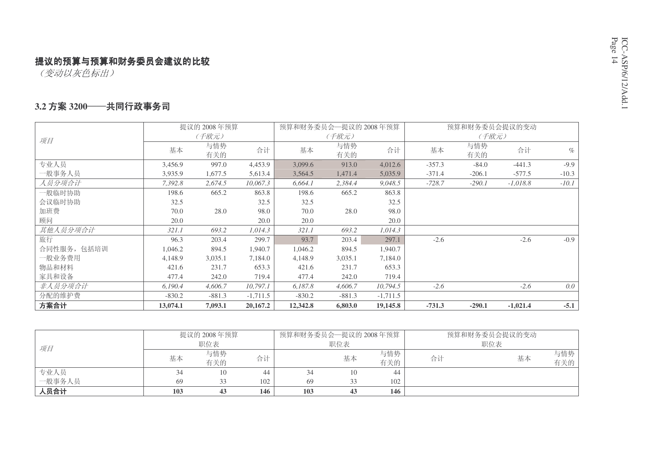(变动以灰色标出)

#### 3.2 方案 3200──共同行政事务司

|             |          | 提议的 2008年预算 |            |          | 预算和财务委员会—提议的 2008年预算 |            |          | 预算和财务委员会提议的变动 |            |         |
|-------------|----------|-------------|------------|----------|----------------------|------------|----------|---------------|------------|---------|
| 项目          |          | (千欧元)       |            |          | (千欧元)                |            |          | (千欧元)         |            |         |
|             | 基本       | 与情势<br>有关的  | 合计         | 基本       | 与情势<br>有关的           | 合计         | 基本       | 与情势<br>有关的    | 合计         | $\%$    |
| 专业人员        | 3,456.9  | 997.0       | 4,453.9    | 3,099.6  | 913.0                | 4,012.6    | $-357.3$ | $-84.0$       | $-441.3$   | $-9.9$  |
| 一般事务人员      | 3,935.9  | 1,677.5     | 5,613.4    | 3,564.5  | 1,471.4              | 5,035.9    | $-371.4$ | $-206.1$      | $-577.5$   | $-10.3$ |
| 人员分项合计      | 7,392.8  | 2,674.5     | 10,067.3   | 6,664.1  | 2,384.4              | 9,048.5    | $-728.7$ | $-290.1$      | $-1,018.8$ | $-10.1$ |
| 一般临时协助      | 198.6    | 665.2       | 863.8      | 198.6    | 665.2                | 863.8      |          |               |            |         |
| 会议临时协助      | 32.5     |             | 32.5       | 32.5     |                      | 32.5       |          |               |            |         |
| 加班费         | 70.0     | 28.0        | 98.0       | 70.0     | 28.0                 | 98.0       |          |               |            |         |
| 顾问          | 20.0     |             | 20.0       | 20.0     |                      | 20.0       |          |               |            |         |
| 其他人员分项合计    | 321.1    | 693.2       | 1,014.3    | 321.1    | 693.2                | 1,014.3    |          |               |            |         |
| 旅行          | 96.3     | 203.4       | 299.7      | 93.7     | 203.4                | 297.1      | $-2.6$   |               | $-2.6$     | $-0.9$  |
| 合同性服务, 包括培训 | 1,046.2  | 894.5       | 1,940.7    | 1,046.2  | 894.5                | 1,940.7    |          |               |            |         |
| 一般业务费用      | 4,148.9  | 3,035.1     | 7,184.0    | 4,148.9  | 3,035.1              | 7,184.0    |          |               |            |         |
| 物品和材料       | 421.6    | 231.7       | 653.3      | 421.6    | 231.7                | 653.3      |          |               |            |         |
| 家具和设备       | 477.4    | 242.0       | 719.4      | 477.4    | 242.0                | 719.4      |          |               |            |         |
| 非人员分项合计     | 6,190.4  | 4,606.7     | 10,797.1   | 6,187.8  | 4,606.7              | 10,794.5   | $-2.6$   |               | $-2.6$     | 0.0     |
| 分配的维护费      | $-830.2$ | $-881.3$    | $-1,711.5$ | $-830.2$ | $-881.3$             | $-1,711.5$ |          |               |            |         |
| 方案合计        | 13,074.1 | 7,093.1     | 20,167.2   | 12,342.8 | 6,803.0              | 19,145.8   | $-731.3$ | $-290.1$      | $-1,021.4$ | $-5.1$  |

|        |     | 提议的 2008年预算 |     | 预算和财务委员会—提议的 2008年预算 |     |     |    | 预算和财务委员会提议的变动 |     |
|--------|-----|-------------|-----|----------------------|-----|-----|----|---------------|-----|
| 项目     |     | 职位表         |     |                      | 职位表 |     |    | 职位表           |     |
|        | 基本  | 与情势         | 合计  |                      | 基本  | 与情势 | 合计 | 基本            | 与情势 |
|        |     | 有关的         |     |                      |     | 有关的 |    |               | 有关的 |
| 专业人员   |     |             | 44  |                      | 10  | 44  |    |               |     |
| 一般事务人员 | 69  | 33          | 102 | 69                   |     | 102 |    |               |     |
| 人员合计   | 103 | 43          | 146 | 103                  | 43  | 146 |    |               |     |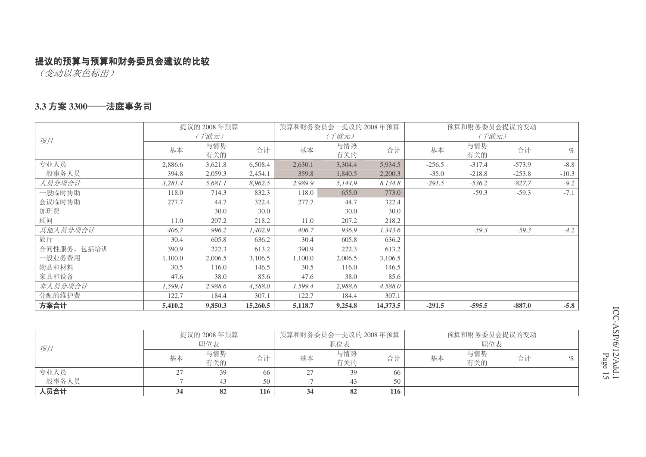(变动以灰色标出)

#### **3.3 方案 3300──法庭事务司**

|             |         | 提议的 2008年预算 |          |         | 预算和财务委员会—提议的 2008年预算 |          |          | 预算和财务委员会提议的变动 |          |         |
|-------------|---------|-------------|----------|---------|----------------------|----------|----------|---------------|----------|---------|
| 项目          |         | (千欧元)       |          |         | (千欧元)                |          |          | (千欧元)         |          |         |
|             | 基本      | 与情势<br>有关的  | 合计       | 基本      | 与情势<br>有关的           | 合计       | 基本       | 与情势<br>有关的    | 合计       | $\%$    |
| 专业人员        | 2,886.6 | 3,621.8     | 6,508.4  | 2,630.1 | 3,304.4              | 5,934.5  | $-256.5$ | $-317.4$      | $-573.9$ | $-8.8$  |
| 一般事务人员      | 394.8   | 2,059.3     | 2,454.1  | 359.8   | 1,840.5              | 2,200.3  | $-35.0$  | $-218.8$      | $-253.8$ | $-10.3$ |
| 人员分项合计      | 3,281.4 | 5,681.1     | 8,962.5  | 2,989.9 | 5,144.9              | 8,134.8  | $-291.5$ | $-536.2$      | $-827.7$ | $-9.2$  |
| 一般临时协助      | 118.0   | 714.3       | 832.3    | 118.0   | 655.0                | 773.0    |          | $-59.3$       | $-59.3$  | $-7.1$  |
| 会议临时协助      | 277.7   | 44.7        | 322.4    | 277.7   | 44.7                 | 322.4    |          |               |          |         |
| 加班费         |         | 30.0        | 30.0     |         | 30.0                 | 30.0     |          |               |          |         |
| 顾问          | 11.0    | 207.2       | 218.2    | 11.0    | 207.2                | 218.2    |          |               |          |         |
| 其他人员分项合计    | 406.7   | 996.2       | 1,402.9  | 406.7   | 936.9                | 1,343.6  |          | $-59.3$       | $-59.3$  | $-4.2$  |
| 旅行          | 30.4    | 605.8       | 636.2    | 30.4    | 605.8                | 636.2    |          |               |          |         |
| 合同性服务, 包括培训 | 390.9   | 222.3       | 613.2    | 390.9   | 222.3                | 613.2    |          |               |          |         |
| 一般业务费用      | 1,100.0 | 2,006.5     | 3,106.5  | 1,100.0 | 2,006.5              | 3,106.5  |          |               |          |         |
| 物品和材料       | 30.5    | 116.0       | 146.5    | 30.5    | 116.0                | 146.5    |          |               |          |         |
| 家具和设备       | 47.6    | 38.0        | 85.6     | 47.6    | 38.0                 | 85.6     |          |               |          |         |
| 非人员分项合计     | 1,599.4 | 2,988.6     | 4,588.0  | 1,599.4 | 2,988.6              | 4,588.0  |          |               |          |         |
| 分配的维护费      | 122.7   | 184.4       | 307.1    | 122.7   | 184.4                | 307.1    |          |               |          |         |
| 方案合计        | 5,410.2 | 9,850.3     | 15,260.5 | 5,118.7 | 9,254.8              | 14,373.5 | $-291.5$ | $-595.5$      | $-887.0$ | $-5.8$  |

|        |    | 提议的 2008年预算 |     |    | 预算和财务委员会—提议的 2008年预算 |     | 预算和财务委员会提议的变动 |            |    |   |
|--------|----|-------------|-----|----|----------------------|-----|---------------|------------|----|---|
| 项目     |    | 职位表         |     |    | 职位表                  |     | 职位表           |            |    |   |
|        | 基本 | 与情势<br>有关的  | 合计  | 基本 | 与情势<br>有关的           | 合计  | 基本            | 与情势<br>有关的 | 合计 | % |
| 专业人员   |    | 39          | 66  |    | 39                   | 66  |               |            |    |   |
| 一般事务人员 |    | 43          | 50  |    | 43                   | 50  |               |            |    |   |
| 人员合计   |    | 82          | 116 |    | 82                   | 116 |               |            |    |   |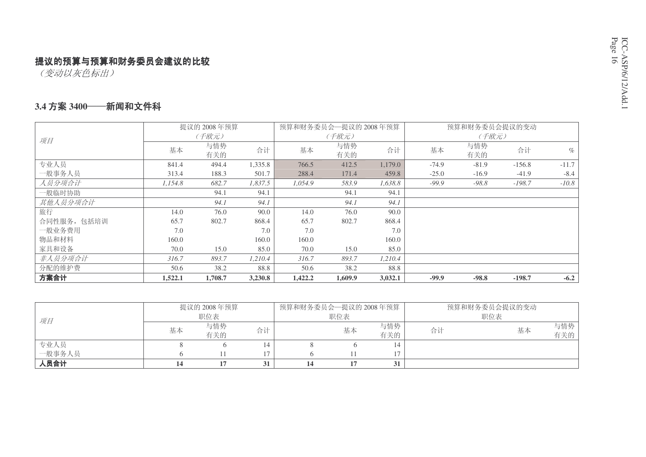(变动以灰色标出)

#### 3.4 方案 3400——新闻和文件科

|             |         | 提议的 2008年预算 |         | 预算和财务委员会—提议的 2008年预算 |            |         |         | 预算和财务委员会提议的变动 |          |         |
|-------------|---------|-------------|---------|----------------------|------------|---------|---------|---------------|----------|---------|
| 项目          |         | (千欧元)       |         |                      | (千欧元)      |         |         | (千欧元)         |          |         |
|             | 基本      | 与情势<br>有关的  | 合计      | 基本                   | 与情势<br>有关的 | 合计      | 基本      | 与情势<br>有关的    | 合计       | $\%$    |
| 专业人员        | 841.4   | 494.4       | 1,335.8 | 766.5                | 412.5      | 1,179.0 | $-74.9$ | $-81.9$       | $-156.8$ | $-11.7$ |
| 一般事务人员      | 313.4   | 188.3       | 501.7   | 288.4                | 171.4      | 459.8   | $-25.0$ | $-16.9$       | $-41.9$  | $-8.4$  |
| 人员分项合计      | 1.154.8 | 682.7       | 1,837.5 | 1.054.9              | 583.9      | 1.638.8 | $-99.9$ | $-98.8$       | $-198.7$ | $-10.8$ |
| 一般临时协助      |         | 94.1        | 94.1    |                      | 94.1       | 94.1    |         |               |          |         |
| 其他人员分项合计    |         | 94.1        | 94.1    |                      | 94.1       | 94.1    |         |               |          |         |
| 旅行          | 14.0    | 76.0        | 90.0    | 14.0                 | 76.0       | 90.0    |         |               |          |         |
| 合同性服务, 包括培训 | 65.7    | 802.7       | 868.4   | 65.7                 | 802.7      | 868.4   |         |               |          |         |
| 一般业务费用      | 7.0     |             | 7.0     | 7.0                  |            | 7.0     |         |               |          |         |
| 物品和材料       | 160.0   |             | 160.0   | 160.0                |            | 160.0   |         |               |          |         |
| 家具和设备       | 70.0    | 15.0        | 85.0    | 70.0                 | 15.0       | 85.0    |         |               |          |         |
| 非人员分项合计     | 316.7   | 893.7       | 1,210.4 | 316.7                | 893.7      | 1,210.4 |         |               |          |         |
| 分配的维护费      | 50.6    | 38.2        | 88.8    | 50.6                 | 38.2       | 88.8    |         |               |          |         |
| 方案合计        | 1,522.1 | 1,708.7     | 3,230.8 | 1,422.2              | 1,609.9    | 3,032.1 | $-99.9$ | $-98.8$       | $-198.7$ | $-6.2$  |

|        |    | 提议的 2008年预算<br>职位表 |    | 预算和财务委员会—提议的 2008年预算 | 职位表 |            | 预算和财务委员会提议的变动<br>职位表 |    |            |
|--------|----|--------------------|----|----------------------|-----|------------|----------------------|----|------------|
| 项目     | 基本 | 与情势<br>有关的         | 合计 |                      | 基本  | 与情势<br>有关的 | 合计                   | 基本 | 与情势<br>有关的 |
| 专业人员   |    |                    |    |                      |     |            |                      |    |            |
| 一般事务人员 |    |                    |    |                      |     |            |                      |    |            |
| 人员合计   |    |                    |    |                      |     |            |                      |    |            |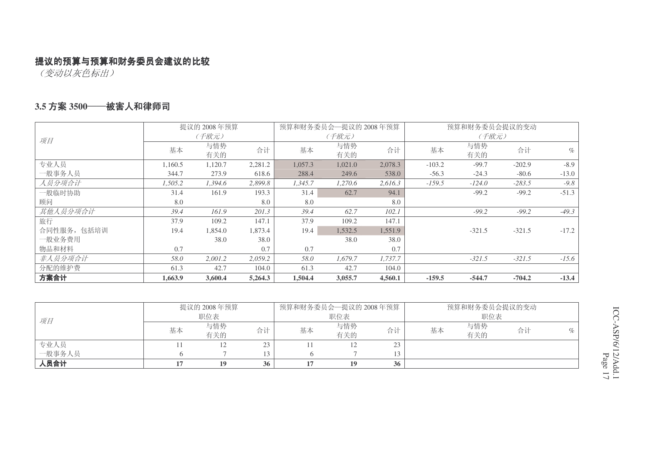(变动以灰色标出)

#### 3.5 方案 3500──被害人和律师司

|             |         | 提议的 2008年预算 |         |         | 预算和财务委员会一提议的 2008年预算 |         |          | 预算和财务委员会提议的变动 |          |         |  |
|-------------|---------|-------------|---------|---------|----------------------|---------|----------|---------------|----------|---------|--|
| 项目          |         | (千欧元)       |         |         | (千欧元)                |         |          | (千欧元)         |          |         |  |
|             | 基本      | 与情势<br>有关的  | 合计      | 基本      | 与情势<br>有关的           | 合计      | 基本       | 与情势<br>有关的    | 合计       | $\%$    |  |
| 专业人员        | 1,160.5 | 1,120.7     | 2,281.2 | 1,057.3 | 1,021.0              | 2,078.3 | $-103.2$ | $-99.7$       | $-202.9$ | $-8.9$  |  |
| 一般事务人员      | 344.7   | 273.9       | 618.6   | 288.4   | 249.6                | 538.0   | $-56.3$  | $-24.3$       | $-80.6$  | $-13.0$ |  |
| 人员分项合计      | 1,505.2 | 1,394.6     | 2,899.8 | 1,345.7 | 1,270.6              | 2,616.3 | $-159.5$ | $-124.0$      | $-283.5$ | $-9.8$  |  |
| 一般临时协助      | 31.4    | 161.9       | 193.3   | 31.4    | 62.7                 | 94.1    |          | $-99.2$       | $-99.2$  | $-51.3$ |  |
| 顾问          | 8.0     |             | 8.0     | 8.0     |                      | 8.0     |          |               |          |         |  |
| 其他人员分项合计    | 39.4    | 161.9       | 201.3   | 39.4    | 62.7                 | 102.1   |          | $-99.2$       | $-99.2$  | $-49.3$ |  |
| 旅行          | 37.9    | 109.2       | 147.1   | 37.9    | 109.2                | 147.1   |          |               |          |         |  |
| 合同性服务, 包括培训 | 19.4    | 1,854.0     | 1,873.4 | 19.4    | 1,532.5              | 1,551.9 |          | $-321.5$      | $-321.5$ | $-17.2$ |  |
| 一般业务费用      |         | 38.0        | 38.0    |         | 38.0                 | 38.0    |          |               |          |         |  |
| 物品和材料       | 0.7     |             | 0.7     | 0.7     |                      | 0.7     |          |               |          |         |  |
| 非人员分项合计     | 58.0    | 2,001.2     | 2,059.2 | 58.0    | 1,679.7              | 1,737.7 |          | $-321.5$      | $-321.5$ | $-15.6$ |  |
| 分配的维护费      | 61.3    | 42.7        | 104.0   | 61.3    | 42.7                 | 104.0   |          |               |          |         |  |
| 方案合计        | 1,663.9 | 3,600.4     | 5,264.3 | 1,504.4 | 3,055.7              | 4,560.1 | $-159.5$ | $-544.7$      | $-704.2$ | $-13.4$ |  |

|        |    | 提议的 2008年预算 |    | 预算和财务委员会一提议的 2008年预算 |            |    |     | 预算和财务委员会提议的变动 |    |      |
|--------|----|-------------|----|----------------------|------------|----|-----|---------------|----|------|
| 项目     |    | 职位表         |    |                      | 职位表        |    | 职位表 |               |    |      |
|        | 基本 | 与情势<br>有关的  | 合计 | 基本                   | 与情势<br>有关的 | 合计 | 基本  | 与情势<br>有关的    | 合计 | $\%$ |
| 专业人员   |    | ⊥∠          | 23 |                      | 12         | 23 |     |               |    |      |
| 一般事务人员 |    |             | 13 |                      |            | 13 |     |               |    |      |
| 人员合计   |    | 19          | 36 |                      | 19         | 36 |     |               |    |      |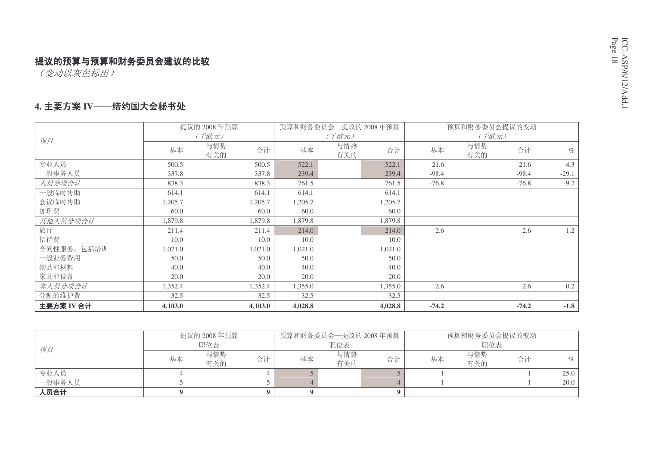(变动以灰色标出)

#### 4. 主要方案 IV——缔约国大会秘书处

|             |         | 提议的 2008年预算      |         | 预算和财务委员会一提议的 2008年预算 |         |         | 预算和财务委员会提议的变动 |                    |
|-------------|---------|------------------|---------|----------------------|---------|---------|---------------|--------------------|
| 项目          |         | (千欧元)            |         | (千欧元)                |         |         | (千欧元)         |                    |
|             | 基本      | 与情势<br>合计<br>有关的 | 基本      | 与情势<br>有关的           | 合计      | 基本      | 与情势<br>有关的    | 合计<br>$\%$         |
| 专业人员        | 500.5   | 500.5            | 522.1   |                      | 522.1   | 21.6    |               | 4.3<br>21.6        |
| 一般事务人员      | 337.8   | 337.8            | 239.4   |                      | 239.4   | $-98.4$ |               | $-29.1$<br>$-98.4$ |
| 人员分项合计      | 838.3   | 838.3            | 761.5   |                      | 761.5   | $-76.8$ |               | $-9.2$<br>$-76.8$  |
| 一般临时协助      | 614.1   | 614.1            | 614.1   |                      | 614.1   |         |               |                    |
| 会议临时协助      | 1,205.7 | 1,205.7          | 1,205.7 |                      | 1,205.7 |         |               |                    |
| 加班费         | 60.0    | 60.0             | 60.0    |                      | 60.0    |         |               |                    |
| 其他人员分项合计    | 1,879.8 | 1,879.8          | 1,879.8 |                      | 1,879.8 |         |               |                    |
| 旅行          | 211.4   | 211.4            | 214.0   |                      | 214.0   | 2.6     |               | 1.2<br>2.6         |
| 招待费         | 10.0    | 10.0             | 10.0    |                      | 10.0    |         |               |                    |
| 合同性服务, 包括培训 | 1,021.0 | 1,021.0          | 1,021.0 |                      | 1,021.0 |         |               |                    |
| 一般业务费用      | 50.0    | 50.0             | 50.0    |                      | 50.0    |         |               |                    |
| 物品和材料       | 40.0    | 40.0             | 40.0    |                      | 40.0    |         |               |                    |
| 家具和设备       | 20.0    | 20.0             | 20.0    |                      | 20.0    |         |               |                    |
| 非人员分项合计     | 1,352.4 | 1,352.4          | 1,355.0 |                      | 1,355.0 | 2.6     |               | 0.2<br>2.6         |
| 分配的维护费      | 32.5    | 32.5             | 32.5    |                      | 32.5    |         |               |                    |
| 主要方案 IV 合计  | 4,103.0 | 4,103.0          | 4,028.8 |                      | 4,028.8 | $-74.2$ |               | $-1.8$<br>$-74.2$  |

|        |    | 提议的 2008年预算 |    | 预算和财务委员会一提议的 2008年预算 |            |    | 预算和财务委员会提议的变动 |            |    |            |
|--------|----|-------------|----|----------------------|------------|----|---------------|------------|----|------------|
| 项目     |    | 职位表         |    | 职位表                  |            |    | 职位表           |            |    |            |
|        | 基本 | 与情势<br>有关的  | 合计 | 基本                   | 与情势<br>有关的 | 合计 | 基本            | 与情势<br>有关的 | 合计 | $O_{\ell}$ |
| 专业人员   |    |             |    |                      |            |    |               |            |    | 25.0       |
| 一般事务人员 |    |             |    |                      |            |    |               |            |    | $-20.0$    |
| 人员合计   |    |             |    |                      |            |    |               |            |    |            |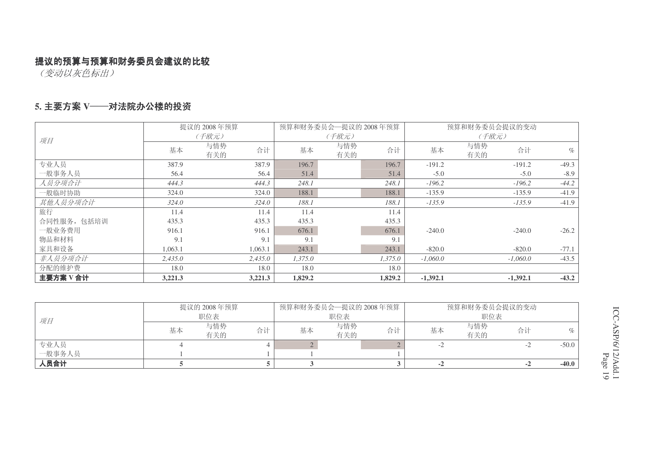(变动以灰色标出)

#### 5. 主要方案 Ⅴ───对法院办公楼的投资

|             |         | 提议的 2008年预算      |         | 预算和财务委员会一提议的 2008年预算 |         |            | 预算和财务委员会提议的变动 |            |         |
|-------------|---------|------------------|---------|----------------------|---------|------------|---------------|------------|---------|
| 项目          |         | (千欧元)            | (千欧元)   |                      |         |            |               |            |         |
|             | 基本      | 与情势<br>合计<br>有关的 | 基本      | 与情势<br>有关的           | 合计      | 基本         | 与情势<br>有关的    | 合计         | $\%$    |
| 专业人员        | 387.9   | 387.9            | 196.7   |                      | 196.7   | $-191.2$   |               | $-191.2$   | $-49.3$ |
| 一般事务人员      | 56.4    | 56.4             | 51.4    |                      | 51.4    | $-5.0$     |               | $-5.0$     | $-8.9$  |
| 人员分项合计      | 444.3   | 444.3            | 248.1   |                      | 248.1   | $-196.2$   |               | $-196.2$   | $-44.2$ |
| 一般临时协助      | 324.0   | 324.0            | 188.1   |                      | 188.1   | $-135.9$   |               | $-135.9$   | $-41.9$ |
| 其他人员分项合计    | 324.0   | 324.0            | 188.1   |                      | 188.1   | $-135.9$   |               | $-135.9$   | $-41.9$ |
| 旅行          | 11.4    | 11.4             | 11.4    |                      | 11.4    |            |               |            |         |
| 合同性服务, 包括培训 | 435.3   | 435.3            | 435.3   |                      | 435.3   |            |               |            |         |
| 一般业务费用      | 916.1   | 916.1            | 676.1   |                      | 676.1   | $-240.0$   |               | $-240.0$   | $-26.2$ |
| 物品和材料       | 9.1     | 9.1              | 9.1     |                      | 9.1     |            |               |            |         |
| 家具和设备       | 1,063.1 | 1,063.1          | 243.1   |                      | 243.1   | $-820.0$   |               | $-820.0$   | $-77.1$ |
| 非人员分项合计     | 2,435.0 | 2,435.0          | 1,375.0 |                      | 1,375.0 | $-1,060.0$ |               | $-1,060.0$ | $-43.5$ |
| 分配的维护费      | 18.0    | 18.0             | 18.0    |                      | 18.0    |            |               |            |         |
| 主要方案V合计     | 3,221.3 | 3,221.3          | 1,829.2 |                      | 1,829.2 | $-1,392.1$ |               | $-1,392.1$ | $-43.2$ |

|        |    | 提议的 2008年预算 |    | 预算和财务委员会—提议的 2008年预算 |            |    | 预算和财务委员会提议的变动 |            |    |         |
|--------|----|-------------|----|----------------------|------------|----|---------------|------------|----|---------|
| 项目     |    | 职位表         |    | 职位表                  |            |    | 职位表           |            |    |         |
|        | 基本 | 与情势<br>有关的  | 合计 | 基本                   | 与情势<br>有关的 | 合计 | 基本            | 与情势<br>有关的 | 合计 | $\%$    |
| 专业人员   |    |             |    |                      |            |    |               |            |    | $-50.0$ |
| 一般事务人员 |    |             |    |                      |            |    |               |            |    |         |
| 人员合计   |    |             |    |                      |            |    | $-2$          |            | -4 | $-40.0$ |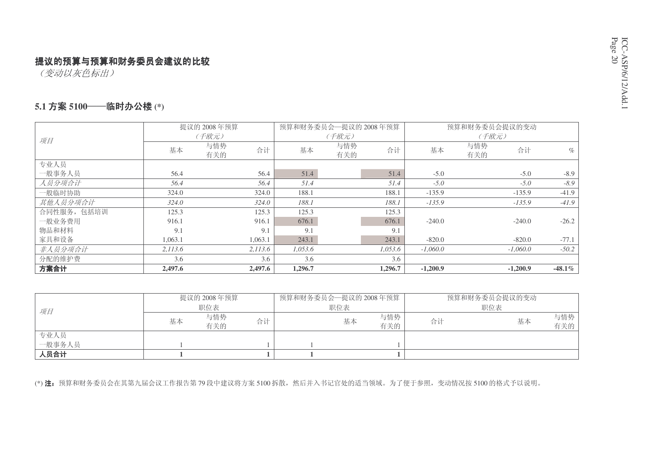# ICC-ASP/6/12/Add.1 Page 2

#### 提议的预算与预算和财务委员会建议的比较

(变动以灰色标出)

#### $\mathbf{5.1}$  方案 5100——临时办公楼 (\*)

|             |         | 提议的 2008年预算      | 预算和财务委员会—提议的 2008年预算 |            |         |            | 预算和财务委员会提议的变动    |           |
|-------------|---------|------------------|----------------------|------------|---------|------------|------------------|-----------|
| 项目          |         | (千欧元)            |                      | (千欧元)      |         |            | (千欧元)            |           |
|             | 基本      | 与情势<br>合计<br>有关的 | 基本                   | 与情势<br>有关的 | 合计      | 基本         | 与情势<br>合计<br>有关的 | $\%$      |
| 专业人员        |         |                  |                      |            |         |            |                  |           |
| 一般事务人员      | 56.4    | 56.4             | 51.4                 |            | 51.4    | $-5.0$     | $-5.0$           | $-8.9$    |
| 人员分项合计      | 56.4    | 56.4             | 51.4                 |            | 51.4    | $-5.0$     | $-5.0$           | $-8.9$    |
| 一般临时协助      | 324.0   | 324.0            | 188.1                |            | 188.1   | $-135.9$   | $-135.9$         | $-41.9$   |
| 其他人员分项合计    | 324.0   | 324.0            | 188.1                |            | 188.1   | $-135.9$   | $-135.9$         | $-41.9$   |
| 合同性服务, 包括培训 | 125.3   | 125.3            | 125.3                |            | 125.3   |            |                  |           |
| 一般业务费用      | 916.1   | 916.1            | 676.1                |            | 676.1   | $-240.0$   | $-240.0$         | $-26.2$   |
| 物品和材料       | 9.1     | 9.1              | 9.1                  |            | 9.1     |            |                  |           |
| 家具和设备       | 1,063.1 | 1,063.1          | 243.1                |            | 243.1   | $-820.0$   | $-820.0$         | $-77.1$   |
| 非人员分项合计     | 2,113.6 | 2,113.6          | 1,053.6              |            | 1.053.6 | $-1.060.0$ | $-1.060.0$       | $-50.2$   |
| 分配的维护费      | 3.6     | 3.6              | 3.6                  |            | 3.6     |            |                  |           |
| 方案合计        | 2,497.6 | 2,497.6          | 1,296.7              |            | 1,296.7 | $-1,200.9$ | $-1,200.9$       | $-48.1\%$ |

|        |    | 提议的 2008年预算 |    | 预算和财务委员会—提议的 2008年预算 |     |            |    | 预算和财务委员会提议的变动 |            |
|--------|----|-------------|----|----------------------|-----|------------|----|---------------|------------|
| 项目     |    | 职位表         |    |                      | 职位表 |            |    | 职位表           |            |
|        | 基本 | 与情势<br>有关的  | 合计 |                      | 基本  | 与情势<br>有关的 | 合计 | 基本            | 与情势<br>有关的 |
| 专业人员   |    |             |    |                      |     |            |    |               |            |
| 一般事务人员 |    |             |    |                      |     |            |    |               |            |
| 人员合计   |    |             |    |                      |     |            |    |               |            |

(\*) 注: 预算和财务委员会在其第九届会议工作报告第79 段中建议将方案 5100 拆散, 然后并入书记官处的适当领域。为了便于参照, 变动情况按 5100 的格式予以说明。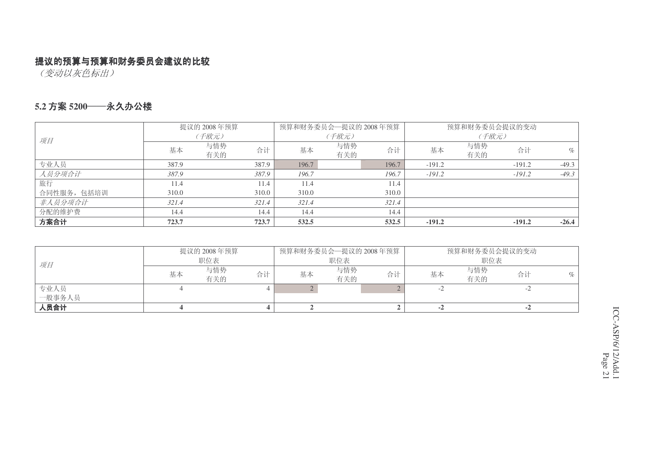(变动以灰色标出)

#### 5.2 方案 5200──永久办公楼

|             | 提议的 2008年预算 |            |       | 预算和财务委员会—提议的 2008年预算 |            |       | 预算和财务委员会提议的变动 |            |          |         |
|-------------|-------------|------------|-------|----------------------|------------|-------|---------------|------------|----------|---------|
| 项目          | (千欧元)       |            |       | (千欧元)                |            |       | (千欧元)         |            |          |         |
|             | 基本          | 与情势<br>有关的 | 合计    | 基本                   | 与情势<br>有关的 | 合计    | 基本            | 与情势<br>有关的 | 合计       | $\%$    |
| 专业人员        | 387.9       |            | 387.9 | 196.7                |            | 196.7 | $-191.2$      |            | $-191.2$ | $-49.3$ |
| 人员分项合计      | 387.9       |            | 387.9 | 196.7                |            | 196.7 | $-191.2$      |            | $-191.2$ | $-49.3$ |
| 旅行          | 11.4        |            | 11.4  | 11.4                 |            | 11.4  |               |            |          |         |
| 合同性服务, 包括培训 | 310.0       |            | 310.0 | 310.0                |            | 310.0 |               |            |          |         |
| 非人员分项合计     | 321.4       |            | 321.4 | 321.4                |            | 321.4 |               |            |          |         |
| 分配的维护费      | 14.4        |            | 14.4  | 14.4                 |            | 14.4  |               |            |          |         |
| 方案合计        | 723.7       |            | 723.7 | 532.5                |            | 532.5 | $-191.2$      |            | $-191.2$ | $-26.4$ |

| 项目     | 提议的 2008年预算<br>职位表 |            |    | 预算和财务委员会—提议的 2008年预算  <br>职位表 |            |    | 预算和财务委员会提议的变动<br>职位表 |            |    |  |
|--------|--------------------|------------|----|-------------------------------|------------|----|----------------------|------------|----|--|
|        | 基本                 | 与情势<br>有关的 | 合计 | 基本                            | 与情势<br>有关的 | 合计 | 基本                   | 与情势<br>有关的 | 合计 |  |
| 专业人员   |                    |            |    |                               |            |    |                      |            |    |  |
| 一般事务人员 |                    |            |    |                               |            |    |                      |            |    |  |
| 人员合计   |                    |            |    |                               |            |    |                      |            |    |  |